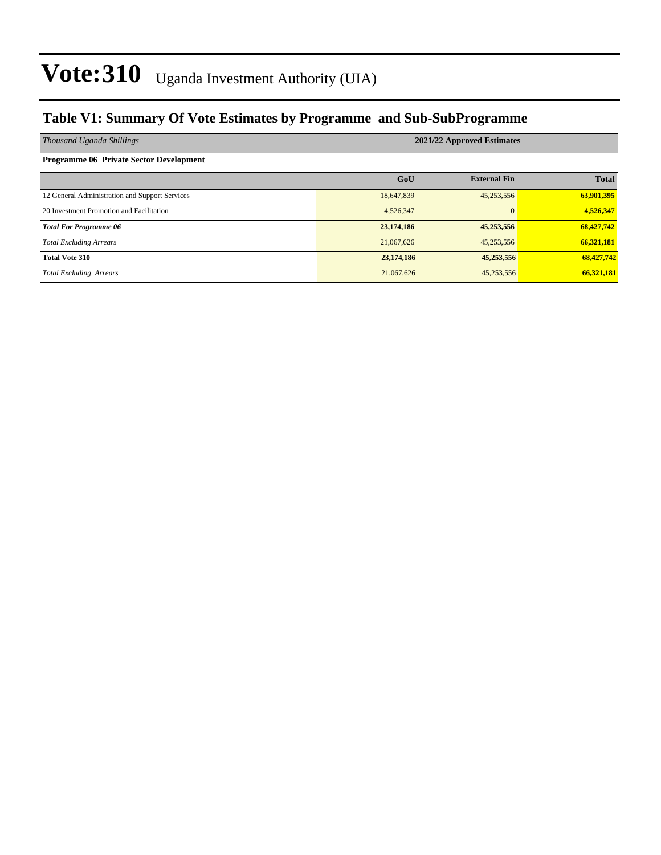### **Table V1: Summary Of Vote Estimates by Programme and Sub-SubProgramme**

| Thousand Uganda Shillings                      | 2021/22 Approved Estimates |                     |              |  |  |  |  |
|------------------------------------------------|----------------------------|---------------------|--------------|--|--|--|--|
| <b>Programme 06 Private Sector Development</b> |                            |                     |              |  |  |  |  |
|                                                | GoU                        | <b>External Fin</b> | <b>Total</b> |  |  |  |  |
| 12 General Administration and Support Services | 18,647,839                 | 45,253,556          | 63,901,395   |  |  |  |  |
| 20 Investment Promotion and Facilitation       | 4,526,347                  | $\mathbf{0}$        | 4,526,347    |  |  |  |  |
| <b>Total For Programme 06</b>                  | 23,174,186                 | 45,253,556          | 68,427,742   |  |  |  |  |
| <b>Total Excluding Arrears</b>                 | 21,067,626                 | 45,253,556          | 66,321,181   |  |  |  |  |
| <b>Total Vote 310</b>                          | 23,174,186                 | 45,253,556          | 68,427,742   |  |  |  |  |
| <b>Total Excluding Arrears</b>                 | 21,067,626                 | 45,253,556          | 66,321,181   |  |  |  |  |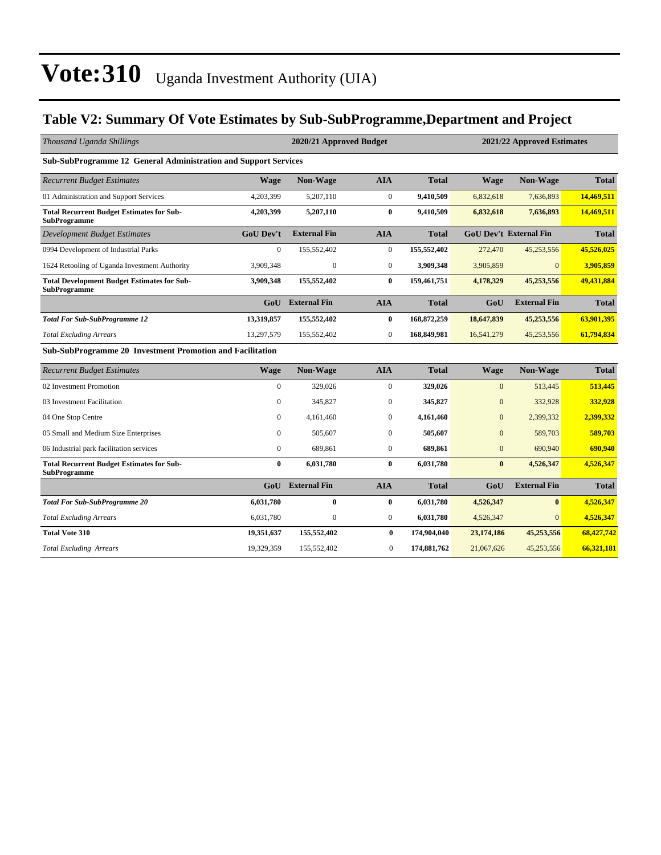### **Table V2: Summary Of Vote Estimates by Sub-SubProgramme,Department and Project**

| Thousand Uganda Shillings                                                 |                  | 2020/21 Approved Budget<br>2021/22 Approved Estimates |                  |              |                |                               |              |
|---------------------------------------------------------------------------|------------------|-------------------------------------------------------|------------------|--------------|----------------|-------------------------------|--------------|
| Sub-SubProgramme 12 General Administration and Support Services           |                  |                                                       |                  |              |                |                               |              |
| <b>Recurrent Budget Estimates</b>                                         | <b>Wage</b>      | Non-Wage                                              | <b>AIA</b>       | <b>Total</b> | <b>Wage</b>    | <b>Non-Wage</b>               | <b>Total</b> |
| 01 Administration and Support Services                                    | 4,203,399        | 5,207,110                                             | $\overline{0}$   | 9,410,509    | 6,832,618      | 7,636,893                     | 14,469,511   |
| <b>Total Recurrent Budget Estimates for Sub-</b><br><b>SubProgramme</b>   | 4,203,399        | 5,207,110                                             | $\bf{0}$         | 9,410,509    | 6,832,618      | 7,636,893                     | 14,469,511   |
| <b>Development Budget Estimates</b>                                       | <b>GoU Dev't</b> | <b>External Fin</b>                                   | <b>AIA</b>       | <b>Total</b> |                | <b>GoU Dev't External Fin</b> | <b>Total</b> |
| 0994 Development of Industrial Parks                                      | $\mathbf{0}$     | 155,552,402                                           | $\boldsymbol{0}$ | 155,552,402  | 272,470        | 45,253,556                    | 45,526,025   |
| 1624 Retooling of Uganda Investment Authority                             | 3,909,348        | $\mathbf{0}$                                          | $\overline{0}$   | 3,909,348    | 3,905,859      | $\overline{0}$                | 3,905,859    |
| <b>Total Development Budget Estimates for Sub-</b><br><b>SubProgramme</b> | 3,909,348        | 155,552,402                                           | $\bf{0}$         | 159,461,751  | 4,178,329      | 45,253,556                    | 49,431,884   |
|                                                                           | GoU              | <b>External Fin</b>                                   | <b>AIA</b>       | <b>Total</b> | GoU            | <b>External Fin</b>           | <b>Total</b> |
| <b>Total For Sub-SubProgramme 12</b>                                      | 13,319,857       | 155,552,402                                           | $\bf{0}$         | 168,872,259  | 18,647,839     | 45,253,556                    | 63,901,395   |
| <b>Total Excluding Arrears</b>                                            | 13,297,579       | 155,552,402                                           | $\boldsymbol{0}$ | 168,849,981  | 16,541,279     | 45,253,556                    | 61,794,834   |
| Sub-SubProgramme 20 Investment Promotion and Facilitation                 |                  |                                                       |                  |              |                |                               |              |
| <b>Recurrent Budget Estimates</b>                                         | <b>Wage</b>      | Non-Wage                                              | <b>AIA</b>       | <b>Total</b> | <b>Wage</b>    | Non-Wage                      | <b>Total</b> |
| 02 Investment Promotion                                                   | $\Omega$         | 329,026                                               | $\mathbf{0}$     | 329,026      | $\mathbf{0}$   | 513,445                       | 513,445      |
| 03 Investment Facilitation                                                | 0                | 345,827                                               | $\boldsymbol{0}$ | 345,827      | $\mathbf{0}$   | 332,928                       | 332,928      |
| 04 One Stop Centre                                                        | 0                | 4,161,460                                             | $\mathbf{0}$     | 4,161,460    | $\overline{0}$ | 2,399,332                     | 2,399,332    |
| 05 Small and Medium Size Enterprises                                      | $\Omega$         | 505.607                                               | $\mathbf{0}$     | 505,607      | $\mathbf{0}$   | 589,703                       | 589,703      |
| 06 Industrial park facilitation services                                  | $\mathbf{0}$     | 689,861                                               | $\boldsymbol{0}$ | 689,861      | $\mathbf{0}$   | 690,940                       | 690,940      |
| <b>Total Recurrent Budget Estimates for Sub-</b><br><b>SubProgramme</b>   | $\bf{0}$         | 6,031,780                                             | $\bf{0}$         | 6,031,780    | $\bf{0}$       | 4,526,347                     | 4,526,347    |
|                                                                           | GoU              | <b>External Fin</b>                                   | <b>AIA</b>       | <b>Total</b> | GoU            | <b>External Fin</b>           | <b>Total</b> |
| <b>Total For Sub-SubProgramme 20</b>                                      | 6,031,780        | $\mathbf{0}$                                          | $\bf{0}$         | 6,031,780    | 4,526,347      | $\mathbf{0}$                  | 4,526,347    |
| <b>Total Excluding Arrears</b>                                            | 6,031,780        | $\boldsymbol{0}$                                      | $\boldsymbol{0}$ | 6,031,780    | 4,526,347      | $\overline{0}$                | 4,526,347    |
| <b>Total Vote 310</b>                                                     | 19,351,637       | 155,552,402                                           | $\bf{0}$         | 174,904,040  | 23,174,186     | 45,253,556                    | 68,427,742   |
| <b>Total Excluding Arrears</b>                                            | 19.329.359       | 155.552.402                                           | $\mathbf{0}$     | 174,881,762  | 21.067.626     | 45,253,556                    | 66.321.181   |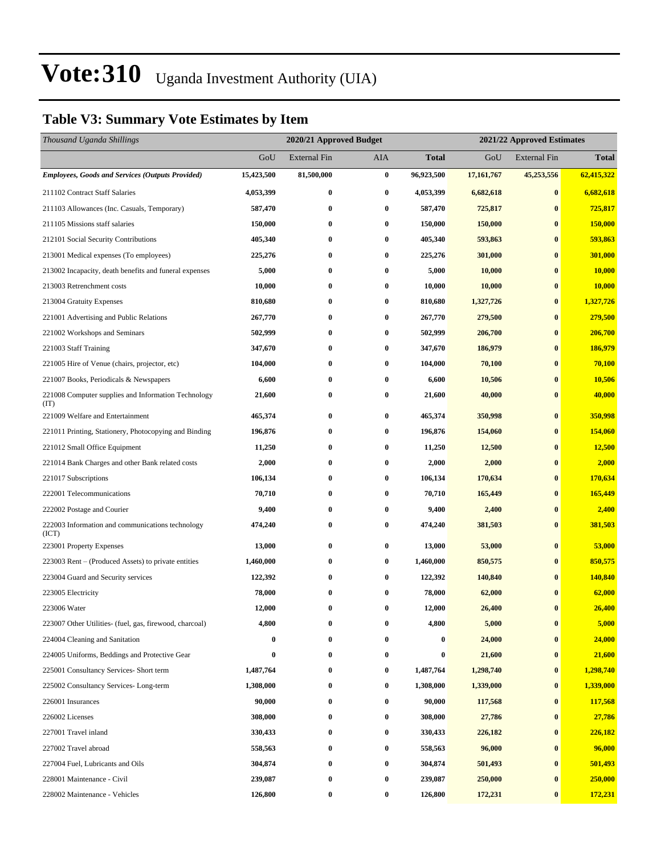### **Table V3: Summary Vote Estimates by Item**

| Thousand Uganda Shillings                                   |            | 2020/21 Approved Budget<br>2021/22 Approved Estimates |          |              |            |                     |              |
|-------------------------------------------------------------|------------|-------------------------------------------------------|----------|--------------|------------|---------------------|--------------|
|                                                             | GoU        | External Fin                                          | AIA      | <b>Total</b> | GoU        | <b>External Fin</b> | <b>Total</b> |
| <b>Employees, Goods and Services (Outputs Provided)</b>     | 15,423,500 | 81,500,000                                            | $\bf{0}$ | 96,923,500   | 17,161,767 | 45,253,556          | 62,415,322   |
| 211102 Contract Staff Salaries                              | 4,053,399  | $\bf{0}$                                              | $\bf{0}$ | 4,053,399    | 6,682,618  | $\bf{0}$            | 6,682,618    |
| 211103 Allowances (Inc. Casuals, Temporary)                 | 587,470    | $\bf{0}$                                              | $\bf{0}$ | 587,470      | 725,817    | $\bf{0}$            | 725,817      |
| 211105 Missions staff salaries                              | 150,000    | $\bf{0}$                                              | $\bf{0}$ | 150,000      | 150,000    | $\bf{0}$            | 150,000      |
| 212101 Social Security Contributions                        | 405,340    | $\bf{0}$                                              | $\bf{0}$ | 405,340      | 593,863    | $\bf{0}$            | 593,863      |
| 213001 Medical expenses (To employees)                      | 225,276    | $\bf{0}$                                              | $\bf{0}$ | 225,276      | 301,000    | $\bf{0}$            | 301,000      |
| 213002 Incapacity, death benefits and funeral expenses      | 5,000      | $\bf{0}$                                              | $\bf{0}$ | 5,000        | 10,000     | $\bf{0}$            | 10,000       |
| 213003 Retrenchment costs                                   | 10,000     | $\bf{0}$                                              | $\bf{0}$ | 10,000       | 10,000     | $\bf{0}$            | 10,000       |
| 213004 Gratuity Expenses                                    | 810,680    | $\bf{0}$                                              | $\bf{0}$ | 810,680      | 1,327,726  | $\bf{0}$            | 1,327,726    |
| 221001 Advertising and Public Relations                     | 267,770    | $\bf{0}$                                              | $\bf{0}$ | 267,770      | 279,500    | $\bf{0}$            | 279,500      |
| 221002 Workshops and Seminars                               | 502,999    | $\bf{0}$                                              | $\bf{0}$ | 502,999      | 206,700    | $\bf{0}$            | 206,700      |
| 221003 Staff Training                                       | 347,670    | $\bf{0}$                                              | $\bf{0}$ | 347,670      | 186,979    | $\bf{0}$            | 186,979      |
| 221005 Hire of Venue (chairs, projector, etc)               | 104,000    | $\bf{0}$                                              | $\bf{0}$ | 104,000      | 70,100     | $\bf{0}$            | 70,100       |
| 221007 Books, Periodicals & Newspapers                      | 6,600      | $\bf{0}$                                              | $\bf{0}$ | 6,600        | 10,506     | $\bf{0}$            | 10,506       |
| 221008 Computer supplies and Information Technology<br>(TT) | 21,600     | $\bf{0}$                                              | $\bf{0}$ | 21,600       | 40,000     | $\bf{0}$            | 40,000       |
| 221009 Welfare and Entertainment                            | 465,374    | $\bf{0}$                                              | $\bf{0}$ | 465,374      | 350,998    | $\bf{0}$            | 350,998      |
| 221011 Printing, Stationery, Photocopying and Binding       | 196,876    | $\bf{0}$                                              | $\bf{0}$ | 196,876      | 154,060    | $\bf{0}$            | 154,060      |
| 221012 Small Office Equipment                               | 11,250     | $\bf{0}$                                              | $\bf{0}$ | 11,250       | 12,500     | $\bf{0}$            | 12,500       |
| 221014 Bank Charges and other Bank related costs            | 2,000      | $\bf{0}$                                              | $\bf{0}$ | 2,000        | 2,000      | $\bf{0}$            | 2,000        |
| 221017 Subscriptions                                        | 106,134    | $\bf{0}$                                              | $\bf{0}$ | 106,134      | 170,634    | $\bf{0}$            | 170,634      |
| 222001 Telecommunications                                   | 70,710     | $\bf{0}$                                              | $\bf{0}$ | 70,710       | 165,449    | $\bf{0}$            | 165,449      |
| 222002 Postage and Courier                                  | 9,400      | $\bf{0}$                                              | $\bf{0}$ | 9,400        | 2,400      | $\bf{0}$            | 2,400        |
| 222003 Information and communications technology<br>(ICT)   | 474,240    | $\bf{0}$                                              | $\bf{0}$ | 474,240      | 381,503    | $\bf{0}$            | 381,503      |
| 223001 Property Expenses                                    | 13,000     | $\bf{0}$                                              | $\bf{0}$ | 13,000       | 53,000     | $\bf{0}$            | 53,000       |
| 223003 Rent – (Produced Assets) to private entities         | 1,460,000  | $\bf{0}$                                              | $\bf{0}$ | 1,460,000    | 850,575    | $\bf{0}$            | 850,575      |
| 223004 Guard and Security services                          | 122,392    | $\bf{0}$                                              | $\bf{0}$ | 122,392      | 140,840    | $\bf{0}$            | 140,840      |
| 223005 Electricity                                          | 78,000     | $\bf{0}$                                              | $\bf{0}$ | 78,000       | 62,000     | $\bf{0}$            | 62,000       |
| 223006 Water                                                | 12,000     | $\bf{0}$                                              | $\bf{0}$ | 12,000       | 26,400     | $\bf{0}$            | 26,400       |
| 223007 Other Utilities- (fuel, gas, firewood, charcoal)     | 4,800      | 0                                                     | $\bf{0}$ | 4,800        | 5,000      | $\bf{0}$            | 5,000        |
| 224004 Cleaning and Sanitation                              | 0          | 0                                                     | $\bf{0}$ | 0            | 24,000     | $\bf{0}$            | 24,000       |
| 224005 Uniforms, Beddings and Protective Gear               | 0          | $\bf{0}$                                              | $\bf{0}$ | 0            | 21,600     | $\bf{0}$            | 21,600       |
| 225001 Consultancy Services- Short term                     | 1,487,764  | $\bf{0}$                                              | $\bf{0}$ | 1,487,764    | 1,298,740  | $\bf{0}$            | 1,298,740    |
| 225002 Consultancy Services-Long-term                       | 1,308,000  | $\bf{0}$                                              | $\bf{0}$ | 1,308,000    | 1,339,000  | $\bf{0}$            | 1,339,000    |
| 226001 Insurances                                           | 90,000     | 0                                                     | $\bf{0}$ | 90,000       | 117,568    | $\bf{0}$            | 117,568      |
| 226002 Licenses                                             | 308,000    | $\bf{0}$                                              | $\bf{0}$ | 308,000      | 27,786     | $\bf{0}$            | 27,786       |
| 227001 Travel inland                                        | 330,433    | $\bf{0}$                                              | $\bf{0}$ | 330,433      | 226,182    | $\bf{0}$            | 226,182      |
| 227002 Travel abroad                                        | 558,563    | 0                                                     | $\bf{0}$ | 558,563      | 96,000     | $\bf{0}$            | 96,000       |
| 227004 Fuel, Lubricants and Oils                            | 304,874    | $\bf{0}$                                              | $\bf{0}$ | 304,874      | 501,493    | $\bf{0}$            | 501,493      |
| 228001 Maintenance - Civil                                  | 239,087    | $\bf{0}$                                              | $\bf{0}$ | 239,087      | 250,000    | $\bf{0}$            | 250,000      |
| 228002 Maintenance - Vehicles                               | 126,800    | $\boldsymbol{0}$                                      | $\bf{0}$ | 126,800      | 172,231    | $\bf{0}$            | 172,231      |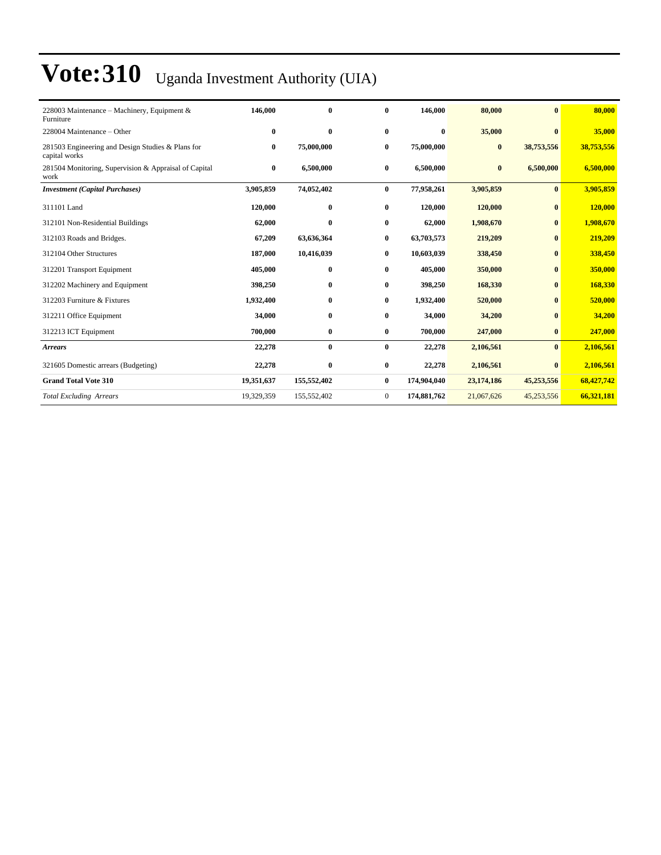| 228003 Maintenance - Machinery, Equipment &<br>Furniture           | 146,000    | $\mathbf{0}$ | 0              | 146,000     | 80,000     | $\mathbf{0}$ | 80,000     |
|--------------------------------------------------------------------|------------|--------------|----------------|-------------|------------|--------------|------------|
| 228004 Maintenance – Other                                         | $\bf{0}$   | $\bf{0}$     | $\bf{0}$       | $\bf{0}$    | 35,000     | $\mathbf{0}$ | 35,000     |
| 281503 Engineering and Design Studies & Plans for<br>capital works | $\bf{0}$   | 75,000,000   | $\bf{0}$       | 75,000,000  | $\bf{0}$   | 38,753,556   | 38,753,556 |
| 281504 Monitoring, Supervision & Appraisal of Capital<br>work      | $\bf{0}$   | 6,500,000    | $\bf{0}$       | 6,500,000   | $\bf{0}$   | 6,500,000    | 6,500,000  |
| <b>Investment</b> (Capital Purchases)                              | 3,905,859  | 74,052,402   | $\bf{0}$       | 77,958,261  | 3,905,859  | $\bf{0}$     | 3,905,859  |
| 311101 Land                                                        | 120,000    | $\bf{0}$     | $\mathbf{0}$   | 120,000     | 120,000    | $\mathbf{0}$ | 120,000    |
| 312101 Non-Residential Buildings                                   | 62,000     | $\bf{0}$     | $\bf{0}$       | 62,000      | 1,908,670  | $\bf{0}$     | 1,908,670  |
| 312103 Roads and Bridges.                                          | 67,209     | 63,636,364   | $\bf{0}$       | 63,703,573  | 219,209    | $\bf{0}$     | 219,209    |
| 312104 Other Structures                                            | 187,000    | 10,416,039   | $\bf{0}$       | 10,603,039  | 338,450    | $\bf{0}$     | 338,450    |
| 312201 Transport Equipment                                         | 405,000    | $\bf{0}$     | $\bf{0}$       | 405,000     | 350,000    | $\bf{0}$     | 350,000    |
| 312202 Machinery and Equipment                                     | 398,250    | $\mathbf{0}$ | $\mathbf{0}$   | 398,250     | 168,330    | $\mathbf{0}$ | 168,330    |
| 312203 Furniture & Fixtures                                        | 1,932,400  | $\bf{0}$     | $\bf{0}$       | 1,932,400   | 520,000    | $\mathbf{0}$ | 520,000    |
| 312211 Office Equipment                                            | 34,000     | $\bf{0}$     | $\bf{0}$       | 34,000      | 34,200     | $\mathbf{0}$ | 34,200     |
| 312213 ICT Equipment                                               | 700,000    | $\bf{0}$     | $\bf{0}$       | 700,000     | 247,000    | $\bf{0}$     | 247,000    |
| <b>Arrears</b>                                                     | 22,278     | $\bf{0}$     | $\bf{0}$       | 22,278      | 2,106,561  | $\mathbf{0}$ | 2,106,561  |
| 321605 Domestic arrears (Budgeting)                                | 22,278     | $\bf{0}$     | $\bf{0}$       | 22,278      | 2,106,561  | $\mathbf{0}$ | 2,106,561  |
| <b>Grand Total Vote 310</b>                                        | 19,351,637 | 155,552,402  | $\bf{0}$       | 174,904,040 | 23,174,186 | 45,253,556   | 68,427,742 |
| <b>Total Excluding Arrears</b>                                     | 19,329,359 | 155,552,402  | $\overline{0}$ | 174,881,762 | 21,067,626 | 45,253,556   | 66,321,181 |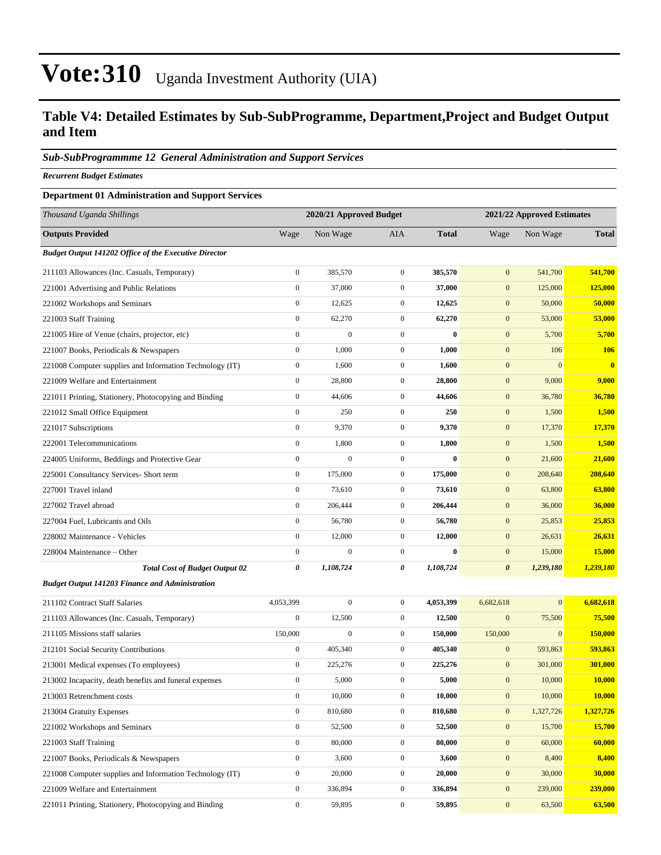### **Table V4: Detailed Estimates by Sub-SubProgramme, Department,Project and Budget Output and Item**

#### *Sub-SubProgrammme 12 General Administration and Support Services*

*Recurrent Budget Estimates*

#### **Department 01 Administration and Support Services**

| Thousand Uganda Shillings                                    |                  | 2020/21 Approved Budget |                  |              |                       | 2021/22 Approved Estimates |               |
|--------------------------------------------------------------|------------------|-------------------------|------------------|--------------|-----------------------|----------------------------|---------------|
| <b>Outputs Provided</b>                                      | Wage             | Non Wage                | <b>AIA</b>       | <b>Total</b> | Wage                  | Non Wage                   | <b>Total</b>  |
| <b>Budget Output 141202 Office of the Executive Director</b> |                  |                         |                  |              |                       |                            |               |
| 211103 Allowances (Inc. Casuals, Temporary)                  | $\boldsymbol{0}$ | 385,570                 | $\mathbf{0}$     | 385,570      | $\mathbf{0}$          | 541,700                    | 541,700       |
| 221001 Advertising and Public Relations                      | $\boldsymbol{0}$ | 37,000                  | $\mathbf{0}$     | 37,000       | $\mathbf{0}$          | 125,000                    | 125,000       |
| 221002 Workshops and Seminars                                | $\boldsymbol{0}$ | 12,625                  | $\mathbf{0}$     | 12,625       | $\mathbf{0}$          | 50,000                     | 50,000        |
| 221003 Staff Training                                        | $\mathbf{0}$     | 62,270                  | $\mathbf{0}$     | 62,270       | $\boldsymbol{0}$      | 53,000                     | 53,000        |
| 221005 Hire of Venue (chairs, projector, etc)                | $\boldsymbol{0}$ | $\mathbf{0}$            | $\mathbf{0}$     | $\bf{0}$     | $\mathbf{0}$          | 5,700                      | 5,700         |
| 221007 Books, Periodicals & Newspapers                       | $\boldsymbol{0}$ | 1,000                   | $\mathbf{0}$     | 1,000        | $\boldsymbol{0}$      | 106                        | <b>106</b>    |
| 221008 Computer supplies and Information Technology (IT)     | $\boldsymbol{0}$ | 1,600                   | $\mathbf{0}$     | 1,600        | $\mathbf{0}$          | $\mathbf{0}$               | $\mathbf{0}$  |
| 221009 Welfare and Entertainment                             | $\boldsymbol{0}$ | 28,800                  | $\mathbf{0}$     | 28,800       | $\mathbf{0}$          | 9,000                      | 9,000         |
| 221011 Printing, Stationery, Photocopying and Binding        | $\mathbf{0}$     | 44,606                  | $\mathbf{0}$     | 44,606       | $\boldsymbol{0}$      | 36,780                     | 36,780        |
| 221012 Small Office Equipment                                | $\boldsymbol{0}$ | 250                     | $\mathbf{0}$     | 250          | $\mathbf{0}$          | 1,500                      | 1,500         |
| 221017 Subscriptions                                         | $\boldsymbol{0}$ | 9,370                   | $\mathbf{0}$     | 9,370        | $\boldsymbol{0}$      | 17,370                     | 17,370        |
| 222001 Telecommunications                                    | $\boldsymbol{0}$ | 1,800                   | $\mathbf{0}$     | 1,800        | $\mathbf{0}$          | 1,500                      | 1,500         |
| 224005 Uniforms, Beddings and Protective Gear                | $\boldsymbol{0}$ | $\boldsymbol{0}$        | $\mathbf{0}$     | $\bf{0}$     | $\boldsymbol{0}$      | 21,600                     | 21,600        |
| 225001 Consultancy Services- Short term                      | $\mathbf{0}$     | 175,000                 | $\mathbf{0}$     | 175,000      | $\mathbf{0}$          | 208,640                    | 208,640       |
| 227001 Travel inland                                         | $\boldsymbol{0}$ | 73,610                  | $\mathbf{0}$     | 73,610       | $\mathbf{0}$          | 63,800                     | 63,800        |
| 227002 Travel abroad                                         | $\boldsymbol{0}$ | 206,444                 | $\mathbf{0}$     | 206,444      | $\boldsymbol{0}$      | 36,000                     | 36,000        |
| 227004 Fuel. Lubricants and Oils                             | $\boldsymbol{0}$ | 56,780                  | $\mathbf{0}$     | 56,780       | $\mathbf{0}$          | 25,853                     | 25,853        |
| 228002 Maintenance - Vehicles                                | $\mathbf{0}$     | 12,000                  | $\mathbf{0}$     | 12,000       | $\mathbf{0}$          | 26,631                     | 26,631        |
| 228004 Maintenance – Other                                   | $\mathbf{0}$     | $\overline{0}$          | $\mathbf{0}$     | $\bf{0}$     | $\mathbf{0}$          | 15,000                     | 15,000        |
| <b>Total Cost of Budget Output 02</b>                        | 0                | 1,108,724               | 0                | 1,108,724    | $\boldsymbol{\theta}$ | 1,239,180                  | 1,239,180     |
| <b>Budget Output 141203 Finance and Administration</b>       |                  |                         |                  |              |                       |                            |               |
| 211102 Contract Staff Salaries                               | 4,053,399        | $\overline{0}$          | $\mathbf{0}$     | 4,053,399    | 6,682,618             | $\mathbf{0}$               | 6,682,618     |
| 211103 Allowances (Inc. Casuals, Temporary)                  | $\boldsymbol{0}$ | 12,500                  | $\mathbf{0}$     | 12,500       | $\mathbf{0}$          | 75,500                     | 75,500        |
| 211105 Missions staff salaries                               | 150,000          | $\boldsymbol{0}$        | $\mathbf{0}$     | 150,000      | 150,000               | $\mathbf{0}$               | 150,000       |
| 212101 Social Security Contributions                         | $\mathbf{0}$     | 405,340                 | $\mathbf{0}$     | 405,340      | $\boldsymbol{0}$      | 593,863                    | 593,863       |
| 213001 Medical expenses (To employees)                       | $\boldsymbol{0}$ | 225,276                 | $\mathbf{0}$     | 225,276      | $\mathbf{0}$          | 301,000                    | 301,000       |
| 213002 Incapacity, death benefits and funeral expenses       | $\boldsymbol{0}$ | 5,000                   | $\mathbf{0}$     | 5,000        | $\mathbf{0}$          | 10,000                     | 10,000        |
| 213003 Retrenchment costs                                    | $\boldsymbol{0}$ | 10,000                  | $\boldsymbol{0}$ | 10,000       | $\boldsymbol{0}$      | 10,000                     | <b>10,000</b> |
| 213004 Gratuity Expenses                                     | $\mathbf{0}$     | 810,680                 | $\boldsymbol{0}$ | 810,680      | $\boldsymbol{0}$      | 1,327,726                  | 1,327,726     |
| 221002 Workshops and Seminars                                | $\boldsymbol{0}$ | 52,500                  | $\boldsymbol{0}$ | 52,500       | $\boldsymbol{0}$      | 15,700                     | 15,700        |
| 221003 Staff Training                                        | $\boldsymbol{0}$ | 80,000                  | $\boldsymbol{0}$ | 80,000       | $\boldsymbol{0}$      | 60,000                     | 60,000        |
| 221007 Books, Periodicals & Newspapers                       | $\boldsymbol{0}$ | 3,600                   | $\boldsymbol{0}$ | 3,600        | $\boldsymbol{0}$      | 8,400                      | 8,400         |
| 221008 Computer supplies and Information Technology (IT)     | $\boldsymbol{0}$ | 20,000                  | $\boldsymbol{0}$ | 20,000       | $\boldsymbol{0}$      | 30,000                     | 30,000        |
| 221009 Welfare and Entertainment                             | $\boldsymbol{0}$ | 336,894                 | $\boldsymbol{0}$ | 336,894      | $\boldsymbol{0}$      | 239,000                    | 239,000       |
| 221011 Printing, Stationery, Photocopying and Binding        | $\boldsymbol{0}$ | 59,895                  | $\boldsymbol{0}$ | 59,895       | $\boldsymbol{0}$      | 63,500                     | 63,500        |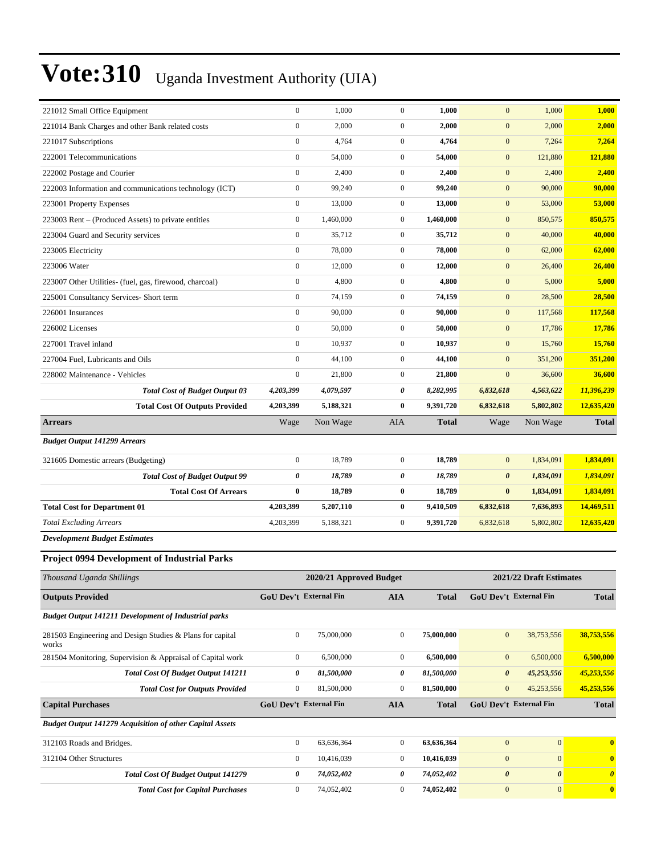| 221012 Small Office Equipment                               | $\boldsymbol{0}$ | 1,000                   | $\boldsymbol{0}$ | 1,000        | $\mathbf{0}$           | 1,000                   | 1,000        |
|-------------------------------------------------------------|------------------|-------------------------|------------------|--------------|------------------------|-------------------------|--------------|
| 221014 Bank Charges and other Bank related costs            | $\overline{0}$   | 2,000                   | $\overline{0}$   | 2,000        | $\mathbf{0}$           | 2,000                   | 2,000        |
| 221017 Subscriptions                                        | $\boldsymbol{0}$ | 4,764                   | $\boldsymbol{0}$ | 4,764        | $\boldsymbol{0}$       | 7,264                   | 7,264        |
| 222001 Telecommunications                                   | $\boldsymbol{0}$ | 54,000                  | $\mathbf{0}$     | 54,000       | $\boldsymbol{0}$       | 121,880                 | 121,880      |
| 222002 Postage and Courier                                  | $\boldsymbol{0}$ | 2,400                   | $\boldsymbol{0}$ | 2,400        | $\boldsymbol{0}$       | 2,400                   | 2,400        |
| 222003 Information and communications technology (ICT)      | $\boldsymbol{0}$ | 99,240                  | $\overline{0}$   | 99,240       | $\mathbf{0}$           | 90,000                  | 90,000       |
| 223001 Property Expenses                                    | $\overline{0}$   | 13,000                  | $\mathbf{0}$     | 13,000       | $\boldsymbol{0}$       | 53,000                  | 53,000       |
| 223003 Rent – (Produced Assets) to private entities         | $\boldsymbol{0}$ | 1,460,000               | $\mathbf{0}$     | 1,460,000    | $\boldsymbol{0}$       | 850,575                 | 850,575      |
| 223004 Guard and Security services                          | $\overline{0}$   | 35,712                  | $\mathbf{0}$     | 35,712       | $\mathbf{0}$           | 40,000                  | 40,000       |
| 223005 Electricity                                          | $\boldsymbol{0}$ | 78,000                  | $\mathbf{0}$     | 78,000       | $\boldsymbol{0}$       | 62,000                  | 62,000       |
| 223006 Water                                                | $\mathbf{0}$     | 12,000                  | $\mathbf{0}$     | 12,000       | $\mathbf{0}$           | 26,400                  | 26,400       |
| 223007 Other Utilities- (fuel, gas, firewood, charcoal)     | $\boldsymbol{0}$ | 4,800                   | $\mathbf{0}$     | 4,800        | $\mathbf{0}$           | 5,000                   | 5,000        |
| 225001 Consultancy Services- Short term                     | $\overline{0}$   | 74,159                  | $\mathbf{0}$     | 74,159       | $\mathbf{0}$           | 28,500                  | 28,500       |
| 226001 Insurances                                           | $\boldsymbol{0}$ | 90,000                  | $\mathbf{0}$     | 90,000       | $\boldsymbol{0}$       | 117,568                 | 117,568      |
| 226002 Licenses                                             | $\overline{0}$   | 50,000                  | $\mathbf{0}$     | 50,000       | $\mathbf{0}$           | 17,786                  | 17,786       |
| 227001 Travel inland                                        | $\boldsymbol{0}$ | 10,937                  | $\mathbf{0}$     | 10,937       | $\boldsymbol{0}$       | 15,760                  | 15,760       |
| 227004 Fuel, Lubricants and Oils                            | $\boldsymbol{0}$ | 44,100                  | $\boldsymbol{0}$ | 44,100       | $\mathbf{0}$           | 351,200                 | 351,200      |
| 228002 Maintenance - Vehicles                               | $\boldsymbol{0}$ | 21,800                  | $\boldsymbol{0}$ | 21,800       | $\mathbf{0}$           | 36,600                  | 36,600       |
| <b>Total Cost of Budget Output 03</b>                       | 4,203,399        | 4,079,597               | $\pmb{\theta}$   | 8,282,995    | 6,832,618              | 4,563,622               | 11,396,239   |
| <b>Total Cost Of Outputs Provided</b>                       | 4,203,399        | 5,188,321               | $\bf{0}$         | 9,391,720    | 6,832,618              | 5,802,802               | 12,635,420   |
| <b>Arrears</b>                                              | Wage             | Non Wage                | AIA              | <b>Total</b> | Wage                   | Non Wage                | <b>Total</b> |
| <b>Budget Output 141299 Arrears</b>                         |                  |                         |                  |              |                        |                         |              |
| 321605 Domestic arrears (Budgeting)                         | $\boldsymbol{0}$ | 18,789                  | $\mathbf{0}$     | 18,789       | $\overline{0}$         | 1,834,091               | 1,834,091    |
| <b>Total Cost of Budget Output 99</b>                       | $\pmb{\theta}$   | 18,789                  | 0                | 18,789       | $\boldsymbol{\theta}$  | 1,834,091               | 1,834,091    |
| <b>Total Cost Of Arrears</b>                                | $\bf{0}$         | 18,789                  | $\bf{0}$         | 18,789       | $\bf{0}$               | 1,834,091               | 1,834,091    |
| <b>Total Cost for Department 01</b>                         | 4,203,399        | 5,207,110               | $\bf{0}$         | 9,410,509    | 6,832,618              | 7,636,893               | 14,469,511   |
| <b>Total Excluding Arrears</b>                              | 4,203,399        | 5,188,321               | $\mathbf{0}$     | 9,391,720    | 6,832,618              | 5,802,802               | 12,635,420   |
| <b>Development Budget Estimates</b>                         |                  |                         |                  |              |                        |                         |              |
| <b>Project 0994 Development of Industrial Parks</b>         |                  |                         |                  |              |                        |                         |              |
| Thousand Uganda Shillings                                   |                  | 2020/21 Approved Budget |                  |              |                        | 2021/22 Draft Estimates |              |
| <b>Outputs Provided</b>                                     |                  | GoU Dev't External Fin  | <b>AIA</b>       | <b>Total</b> | GoU Dev't External Fin |                         | <b>Total</b> |
| <b>Budget Output 141211 Development of Industrial parks</b> |                  |                         |                  |              |                        |                         |              |
|                                                             |                  |                         |                  |              |                        |                         |              |

| 281503 Engineering and Design Studies & Plans for capital<br>works | $\mathbf{0}$                  | 75,000,000 | $\mathbf{0}$ | 75,000,000   | $\overline{0}$                | 38,753,556     | 38,753,556 |
|--------------------------------------------------------------------|-------------------------------|------------|--------------|--------------|-------------------------------|----------------|------------|
| 281504 Monitoring, Supervision & Appraisal of Capital work         | $\mathbf{0}$                  | 6.500,000  | $\mathbf{0}$ | 6.500.000    | $\overline{0}$                | 6.500,000      | 6.500,000  |
| <b>Total Cost Of Budget Output 141211</b>                          | 0                             | 81,500,000 | 0            | 81,500,000   | $\boldsymbol{\theta}$         | 45,253,556     | 45,253,556 |
| <b>Total Cost for Outputs Provided</b>                             | $\mathbf{0}$                  | 81,500,000 | $\mathbf{0}$ | 81,500,000   | $\overline{0}$                | 45,253,556     | 45,253,556 |
| <b>Capital Purchases</b>                                           | <b>GoU Dev't External Fin</b> |            | <b>AIA</b>   | <b>Total</b> | <b>GoU Dev't External Fin</b> |                | Total      |
| <b>Budget Output 141279 Acquisition of other Capital Assets</b>    |                               |            |              |              |                               |                |            |
| 312103 Roads and Bridges.                                          | $\mathbf{0}$                  | 63,636,364 | $\mathbf{0}$ | 63,636,364   | $\overline{0}$                | $\overline{0}$ |            |
| 312104 Other Structures                                            | $\mathbf{0}$                  | 10.416.039 | $\mathbf{0}$ | 10,416,039   | $\overline{0}$                | $\mathbf{0}$   |            |
|                                                                    |                               |            |              |              |                               |                |            |

*Total Cost for Capital Purchases* 0 74,052,402 0 **74,052,402** 0 0 **0**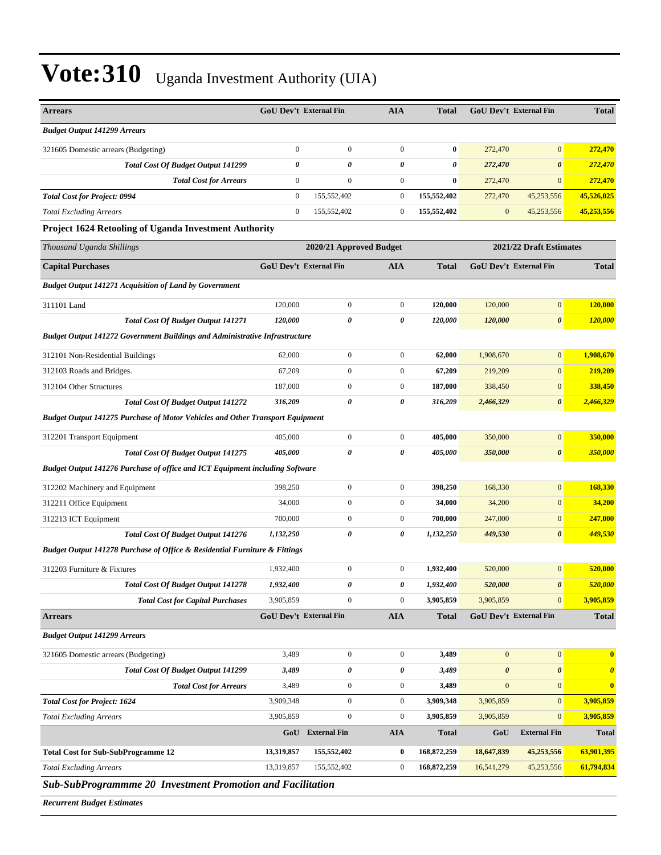| <b>Arrears</b>                                                                       |                  | GoU Dev't External Fin        | <b>AIA</b>            | <b>Total</b>   |                       | <b>GoU Dev't External Fin</b> | <b>Total</b>          |
|--------------------------------------------------------------------------------------|------------------|-------------------------------|-----------------------|----------------|-----------------------|-------------------------------|-----------------------|
| <b>Budget Output 141299 Arrears</b>                                                  |                  |                               |                       |                |                       |                               |                       |
| 321605 Domestic arrears (Budgeting)                                                  | $\overline{0}$   | $\overline{0}$                | $\boldsymbol{0}$      | $\bf{0}$       | 272,470               | $\boldsymbol{0}$              | 272,470               |
| <b>Total Cost Of Budget Output 141299</b>                                            | 0                | 0                             | $\boldsymbol{\theta}$ | $\pmb{\theta}$ | 272,470               | 0                             | 272,470               |
| <b>Total Cost for Arrears</b>                                                        | $\boldsymbol{0}$ | $\mathbf{0}$                  | $\boldsymbol{0}$      | $\bf{0}$       | 272,470               | $\mathbf{0}$                  | 272,470               |
| <b>Total Cost for Project: 0994</b>                                                  | $\mathbf{0}$     | 155,552,402                   | $\boldsymbol{0}$      | 155,552,402    | 272,470               | 45,253,556                    | 45,526,025            |
| <b>Total Excluding Arrears</b>                                                       | $\boldsymbol{0}$ | 155,552,402                   | $\boldsymbol{0}$      | 155,552,402    | $\mathbf{0}$          | 45,253,556                    | 45,253,556            |
| Project 1624 Retooling of Uganda Investment Authority                                |                  |                               |                       |                |                       |                               |                       |
| Thousand Uganda Shillings                                                            |                  | 2020/21 Approved Budget       |                       |                |                       | 2021/22 Draft Estimates       |                       |
| <b>Capital Purchases</b>                                                             |                  | GoU Dev't External Fin        | <b>AIA</b>            | <b>Total</b>   |                       | GoU Dev't External Fin        | <b>Total</b>          |
| <b>Budget Output 141271 Acquisition of Land by Government</b>                        |                  |                               |                       |                |                       |                               |                       |
| 311101 Land                                                                          | 120,000          | $\overline{0}$                | $\boldsymbol{0}$      | 120,000        | 120,000               | $\boldsymbol{0}$              | 120,000               |
| Total Cost Of Budget Output 141271                                                   | 120,000          | 0                             | 0                     | 120,000        | 120,000               | $\boldsymbol{\theta}$         | <b>120,000</b>        |
| <b>Budget Output 141272 Government Buildings and Administrative Infrastructure</b>   |                  |                               |                       |                |                       |                               |                       |
| 312101 Non-Residential Buildings                                                     | 62,000           | $\boldsymbol{0}$              | $\boldsymbol{0}$      | 62,000         | 1,908,670             | $\overline{0}$                | 1,908,670             |
| 312103 Roads and Bridges.                                                            | 67,209           | $\boldsymbol{0}$              | $\boldsymbol{0}$      | 67,209         | 219,209               | $\overline{0}$                | 219,209               |
| 312104 Other Structures                                                              | 187,000          | $\mathbf{0}$                  | $\boldsymbol{0}$      | 187,000        | 338,450               | $\overline{0}$                | 338,450               |
| <b>Total Cost Of Budget Output 141272</b>                                            | 316,209          | 0                             | 0                     | 316,209        | 2,466,329             | $\boldsymbol{\theta}$         | 2,466,329             |
| <b>Budget Output 141275 Purchase of Motor Vehicles and Other Transport Equipment</b> |                  |                               |                       |                |                       |                               |                       |
| 312201 Transport Equipment                                                           | 405,000          | $\boldsymbol{0}$              | $\boldsymbol{0}$      | 405,000        | 350,000               | $\boldsymbol{0}$              | 350,000               |
| <b>Total Cost Of Budget Output 141275</b>                                            | 405,000          | 0                             | 0                     | 405,000        | 350,000               | 0                             | 350,000               |
| <b>Budget Output 141276 Purchase of office and ICT Equipment including Software</b>  |                  |                               |                       |                |                       |                               |                       |
| 312202 Machinery and Equipment                                                       | 398,250          | $\boldsymbol{0}$              | $\boldsymbol{0}$      | 398,250        | 168,330               | $\boldsymbol{0}$              | 168,330               |
| 312211 Office Equipment                                                              | 34,000           | $\mathbf{0}$                  | $\boldsymbol{0}$      | 34,000         | 34,200                | $\overline{0}$                | 34,200                |
| 312213 ICT Equipment                                                                 | 700,000          | $\overline{0}$                | $\boldsymbol{0}$      | 700,000        | 247,000               | $\boldsymbol{0}$              | 247,000               |
| Total Cost Of Budget Output 141276                                                   | 1,132,250        | 0                             | 0                     | 1,132,250      | 449,530               | $\boldsymbol{\theta}$         | 449,530               |
| Budget Output 141278 Purchase of Office & Residential Furniture & Fittings           |                  |                               |                       |                |                       |                               |                       |
| 312203 Furniture & Fixtures                                                          | 1,932,400        | $\boldsymbol{0}$              | $\boldsymbol{0}$      | 1,932,400      | 520,000               | $\overline{0}$                | 520,000               |
| <b>Total Cost Of Budget Output 141278</b>                                            | 1,932,400        | 0                             | 0                     | 1,932,400      | 520,000               | 0                             | <b>520,000</b>        |
| <b>Total Cost for Capital Purchases</b>                                              | 3,905,859        | $\overline{0}$                | $\boldsymbol{0}$      | 3,905,859      | 3,905,859             | $\overline{0}$                | 3,905,859             |
| <b>Arrears</b>                                                                       |                  | <b>GoU Dev't External Fin</b> | AIA                   | <b>Total</b>   |                       | GoU Dev't External Fin        | <b>Total</b>          |
| <b>Budget Output 141299 Arrears</b>                                                  |                  |                               |                       |                |                       |                               |                       |
| 321605 Domestic arrears (Budgeting)                                                  | 3,489            | $\overline{0}$                | $\boldsymbol{0}$      | 3,489          | $\mathbf{0}$          | $\boldsymbol{0}$              | $\bf{0}$              |
| <b>Total Cost Of Budget Output 141299</b>                                            | 3,489            | 0                             | 0                     | 3,489          | $\boldsymbol{\theta}$ | 0                             | $\boldsymbol{\theta}$ |
| <b>Total Cost for Arrears</b>                                                        | 3,489            | $\boldsymbol{0}$              | $\boldsymbol{0}$      | 3,489          | $\mathbf{0}$          | $\overline{0}$                | $\bf{0}$              |
| <b>Total Cost for Project: 1624</b>                                                  | 3,909,348        | $\boldsymbol{0}$              | $\boldsymbol{0}$      | 3,909,348      | 3,905,859             | $\overline{0}$                | 3,905,859             |
| <b>Total Excluding Arrears</b>                                                       | 3,905,859        | $\overline{0}$                | $\boldsymbol{0}$      | 3,905,859      | 3,905,859             | $\overline{0}$                | 3,905,859             |
|                                                                                      | GoU              | <b>External Fin</b>           | <b>AIA</b>            | <b>Total</b>   | GoU                   | <b>External Fin</b>           | <b>Total</b>          |
| <b>Total Cost for Sub-SubProgramme 12</b>                                            | 13,319,857       | 155,552,402                   | $\bf{0}$              | 168,872,259    | 18,647,839            | 45,253,556                    | 63,901,395            |
| <b>Total Excluding Arrears</b>                                                       | 13,319,857       | 155,552,402                   | $\boldsymbol{0}$      | 168,872,259    | 16,541,279            | 45,253,556                    | 61,794,834            |
|                                                                                      |                  |                               |                       |                |                       |                               |                       |

*Sub-SubProgrammme 20 Investment Promotion and Facilitation*

*Recurrent Budget Estimates*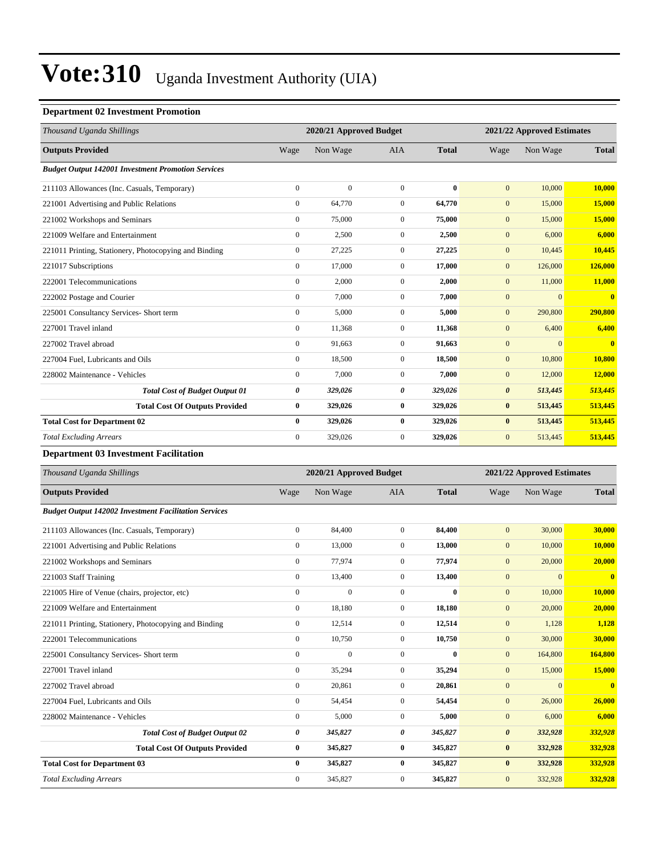### **Department 02 Investment Promotion**

| Thousand Uganda Shillings                                 |                  | 2020/21 Approved Budget |                |              | 2021/22 Approved Estimates |              |                         |  |
|-----------------------------------------------------------|------------------|-------------------------|----------------|--------------|----------------------------|--------------|-------------------------|--|
| <b>Outputs Provided</b>                                   | Wage             | Non Wage                | <b>AIA</b>     | <b>Total</b> | Wage                       | Non Wage     | <b>Total</b>            |  |
| <b>Budget Output 142001 Investment Promotion Services</b> |                  |                         |                |              |                            |              |                         |  |
| 211103 Allowances (Inc. Casuals, Temporary)               | $\mathbf{0}$     | $\mathbf{0}$            | $\overline{0}$ | $\mathbf{0}$ | $\mathbf{0}$               | 10,000       | 10,000                  |  |
| 221001 Advertising and Public Relations                   | $\mathbf{0}$     | 64,770                  | $\mathbf{0}$   | 64,770       | $\mathbf{0}$               | 15,000       | 15,000                  |  |
| 221002 Workshops and Seminars                             | $\boldsymbol{0}$ | 75,000                  | $\mathbf{0}$   | 75,000       | $\mathbf{0}$               | 15,000       | 15,000                  |  |
| 221009 Welfare and Entertainment                          | $\mathbf{0}$     | 2,500                   | $\overline{0}$ | 2,500        | $\mathbf{0}$               | 6,000        | 6,000                   |  |
| 221011 Printing, Stationery, Photocopying and Binding     | $\mathbf{0}$     | 27,225                  | $\overline{0}$ | 27,225       | $\mathbf{0}$               | 10,445       | 10,445                  |  |
| 221017 Subscriptions                                      | $\mathbf{0}$     | 17,000                  | $\overline{0}$ | 17,000       | $\mathbf{0}$               | 126,000      | 126,000                 |  |
| 222001 Telecommunications                                 | $\mathbf{0}$     | 2,000                   | $\mathbf{0}$   | 2,000        | $\mathbf{0}$               | 11,000       | 11,000                  |  |
| 222002 Postage and Courier                                | $\boldsymbol{0}$ | 7,000                   | $\mathbf{0}$   | 7,000        | $\mathbf{0}$               | $\mathbf{0}$ | $\overline{\mathbf{0}}$ |  |
| 225001 Consultancy Services- Short term                   | $\mathbf{0}$     | 5,000                   | $\mathbf{0}$   | 5,000        | $\mathbf{0}$               | 290,800      | 290,800                 |  |
| 227001 Travel inland                                      | $\overline{0}$   | 11,368                  | $\overline{0}$ | 11,368       | $\mathbf{0}$               | 6,400        | 6,400                   |  |
| 227002 Travel abroad                                      | $\boldsymbol{0}$ | 91,663                  | $\mathbf{0}$   | 91,663       | $\mathbf{0}$               | $\mathbf{0}$ | $\overline{\mathbf{0}}$ |  |
| 227004 Fuel, Lubricants and Oils                          | $\overline{0}$   | 18,500                  | $\overline{0}$ | 18,500       | $\mathbf{0}$               | 10,800       | 10,800                  |  |
| 228002 Maintenance - Vehicles                             | $\mathbf{0}$     | 7,000                   | $\overline{0}$ | 7,000        | $\mathbf{0}$               | 12,000       | 12,000                  |  |
| <b>Total Cost of Budget Output 01</b>                     | 0                | 329,026                 | 0              | 329,026      | $\boldsymbol{\theta}$      | 513,445      | 513,445                 |  |
| <b>Total Cost Of Outputs Provided</b>                     | $\bf{0}$         | 329,026                 | $\bf{0}$       | 329,026      | $\bf{0}$                   | 513,445      | 513,445                 |  |
| <b>Total Cost for Department 02</b>                       | $\bf{0}$         | 329,026                 | $\bf{0}$       | 329,026      | $\bf{0}$                   | 513,445      | 513,445                 |  |
| <b>Total Excluding Arrears</b>                            | $\mathbf{0}$     | 329,026                 | $\overline{0}$ | 329,026      | $\mathbf{0}$               | 513,445      | 513,445                 |  |
| Department 03 Investment Facilitation                     |                  |                         |                |              |                            |              |                         |  |

#### **Department 03 Investment Facilitation**

| Thousand Uganda Shillings                                    | 2020/21 Approved Budget |                |                  |              |                       | 2021/22 Approved Estimates |              |  |
|--------------------------------------------------------------|-------------------------|----------------|------------------|--------------|-----------------------|----------------------------|--------------|--|
| <b>Outputs Provided</b>                                      | Wage                    | Non Wage       | <b>AIA</b>       | <b>Total</b> | Wage                  | Non Wage                   | <b>Total</b> |  |
| <b>Budget Output 142002 Investment Facilitation Services</b> |                         |                |                  |              |                       |                            |              |  |
| 211103 Allowances (Inc. Casuals, Temporary)                  | $\overline{0}$          | 84,400         | $\overline{0}$   | 84,400       | $\mathbf{0}$          | 30,000                     | 30,000       |  |
| 221001 Advertising and Public Relations                      | $\overline{0}$          | 13,000         | $\overline{0}$   | 13,000       | $\mathbf{0}$          | 10,000                     | 10,000       |  |
| 221002 Workshops and Seminars                                | $\mathbf{0}$            | 77,974         | $\overline{0}$   | 77,974       | $\mathbf{0}$          | 20,000                     | 20,000       |  |
| 221003 Staff Training                                        | $\overline{0}$          | 13,400         | $\mathbf{0}$     | 13,400       | $\mathbf{0}$          | $\overline{0}$             | $\bf{0}$     |  |
| 221005 Hire of Venue (chairs, projector, etc)                | $\mathbf{0}$            | $\overline{0}$ | $\boldsymbol{0}$ | $\bf{0}$     | $\mathbf{0}$          | 10,000                     | 10,000       |  |
| 221009 Welfare and Entertainment                             | $\overline{0}$          | 18,180         | $\mathbf{0}$     | 18,180       | $\mathbf{0}$          | 20,000                     | 20,000       |  |
| 221011 Printing, Stationery, Photocopying and Binding        | $\mathbf{0}$            | 12,514         | $\overline{0}$   | 12,514       | $\mathbf{0}$          | 1,128                      | 1,128        |  |
| 222001 Telecommunications                                    | $\overline{0}$          | 10,750         | $\overline{0}$   | 10,750       | $\mathbf{0}$          | 30,000                     | 30,000       |  |
| 225001 Consultancy Services- Short term                      | $\mathbf{0}$            | $\mathbf{0}$   | $\mathbf{0}$     | $\mathbf{0}$ | $\mathbf{0}$          | 164,800                    | 164,800      |  |
| 227001 Travel inland                                         | $\mathbf{0}$            | 35,294         | $\mathbf{0}$     | 35,294       | $\mathbf{0}$          | 15,000                     | 15,000       |  |
| 227002 Travel abroad                                         | $\overline{0}$          | 20,861         | $\overline{0}$   | 20,861       | $\mathbf{0}$          | $\overline{0}$             | $\bf{0}$     |  |
| 227004 Fuel, Lubricants and Oils                             | $\mathbf{0}$            | 54,454         | $\overline{0}$   | 54,454       | $\mathbf{0}$          | 26,000                     | 26,000       |  |
| 228002 Maintenance - Vehicles                                | $\overline{0}$          | 5,000          | $\overline{0}$   | 5,000        | $\mathbf{0}$          | 6,000                      | 6.000        |  |
| <b>Total Cost of Budget Output 02</b>                        | 0                       | 345,827        | 0                | 345,827      | $\boldsymbol{\theta}$ | 332,928                    | 332,928      |  |
| <b>Total Cost Of Outputs Provided</b>                        | $\bf{0}$                | 345,827        | $\bf{0}$         | 345,827      | $\bf{0}$              | 332,928                    | 332,928      |  |
| <b>Total Cost for Department 03</b>                          | $\bf{0}$                | 345,827        | $\bf{0}$         | 345,827      | $\bf{0}$              | 332,928                    | 332,928      |  |
| <b>Total Excluding Arrears</b>                               | $\mathbf{0}$            | 345,827        | $\mathbf{0}$     | 345,827      | $\overline{0}$        | 332,928                    | 332,928      |  |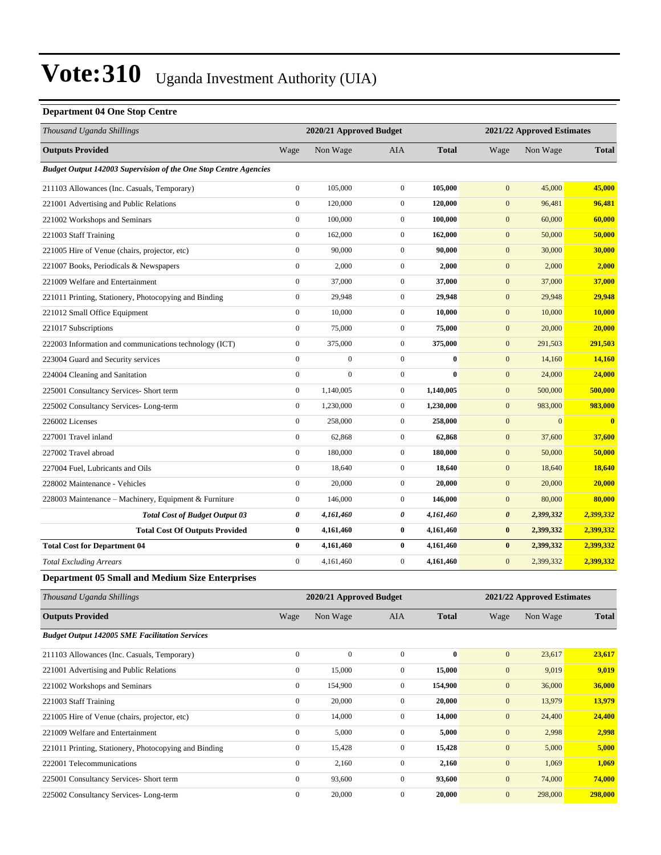### **Department 04 One Stop Centre**

|                       |                |                  |                         |                       | 2021/22 Approved Estimates |                         |  |
|-----------------------|----------------|------------------|-------------------------|-----------------------|----------------------------|-------------------------|--|
| Wage                  | Non Wage       | AIA              | <b>Total</b>            | Wage                  | Non Wage                   | <b>Total</b>            |  |
|                       |                |                  |                         |                       |                            |                         |  |
| $\boldsymbol{0}$      | 105,000        | $\overline{0}$   | 105,000                 | $\mathbf{0}$          | 45,000                     | 45,000                  |  |
| $\boldsymbol{0}$      | 120,000        | $\boldsymbol{0}$ | 120,000                 | $\mathbf{0}$          | 96,481                     | 96,481                  |  |
| $\mathbf{0}$          | 100,000        | $\overline{0}$   | 100,000                 | $\mathbf{0}$          | 60,000                     | 60,000                  |  |
| $\mathbf{0}$          | 162,000        | $\overline{0}$   | 162,000                 | $\mathbf{0}$          | 50,000                     | 50,000                  |  |
| $\boldsymbol{0}$      | 90,000         | $\mathbf{0}$     | 90,000                  | $\mathbf{0}$          | 30,000                     | 30,000                  |  |
| $\boldsymbol{0}$      | 2,000          | $\overline{0}$   | 2,000                   | $\mathbf{0}$          | 2,000                      | 2,000                   |  |
| $\boldsymbol{0}$      | 37,000         | $\overline{0}$   | 37,000                  | $\mathbf{0}$          | 37,000                     | 37,000                  |  |
| $\mathbf{0}$          | 29,948         | $\overline{0}$   | 29,948                  | $\mathbf{0}$          | 29,948                     | 29,948                  |  |
| $\boldsymbol{0}$      | 10,000         | $\boldsymbol{0}$ | 10,000                  | $\boldsymbol{0}$      | 10,000                     | 10,000                  |  |
| $\mathbf{0}$          | 75,000         | $\mathbf{0}$     | 75,000                  | $\mathbf{0}$          | 20,000                     | 20,000                  |  |
| $\mathbf{0}$          | 375,000        | $\mathbf{0}$     | 375,000                 | $\mathbf{0}$          | 291,503                    | 291,503                 |  |
| $\mathbf{0}$          | $\mathbf{0}$   | $\overline{0}$   | $\bf{0}$                | $\boldsymbol{0}$      | 14,160                     | 14,160                  |  |
| $\mathbf{0}$          | $\overline{0}$ | $\overline{0}$   | $\bf{0}$                | $\boldsymbol{0}$      | 24,000                     | 24,000                  |  |
| $\mathbf{0}$          | 1,140,005      | $\overline{0}$   | 1,140,005               | $\mathbf{0}$          | 500,000                    | 500,000                 |  |
| $\mathbf{0}$          | 1,230,000      | $\overline{0}$   | 1,230,000               | $\mathbf{0}$          | 983,000                    | 983,000                 |  |
| $\boldsymbol{0}$      | 258,000        | $\mathbf{0}$     | 258,000                 | $\mathbf{0}$          | $\Omega$                   | $\overline{\mathbf{0}}$ |  |
| $\mathbf{0}$          | 62,868         | $\overline{0}$   | 62,868                  | $\mathbf{0}$          | 37,600                     | 37,600                  |  |
| $\mathbf{0}$          | 180,000        | $\overline{0}$   | 180,000                 | $\mathbf{0}$          | 50,000                     | 50,000                  |  |
| $\mathbf{0}$          | 18,640         | $\mathbf{0}$     | 18,640                  | $\boldsymbol{0}$      | 18,640                     | 18,640                  |  |
| $\boldsymbol{0}$      | 20,000         | $\mathbf{0}$     | 20,000                  | $\mathbf{0}$          | 20,000                     | 20,000                  |  |
| $\boldsymbol{0}$      | 146,000        | $\overline{0}$   | 146,000                 | $\mathbf{0}$          | 80,000                     | 80,000                  |  |
| $\boldsymbol{\theta}$ | 4,161,460      | 0                | 4,161,460               | $\boldsymbol{\theta}$ | 2,399,332                  | 2,399,332               |  |
| $\bf{0}$              | 4,161,460      | $\bf{0}$         | 4,161,460               | $\bf{0}$              | 2,399,332                  | 2,399,332               |  |
| $\bf{0}$              | 4,161,460      | $\bf{0}$         | 4,161,460               | $\bf{0}$              | 2,399,332                  | 2,399,332               |  |
| $\mathbf{0}$          | 4,161,460      | $\overline{0}$   | 4,161,460               | $\mathbf{0}$          | 2,399,332                  | 2,399,332               |  |
|                       |                |                  | 2020/21 Approved Budget |                       |                            |                         |  |

#### **Department 05 Small and Medium Size Enterprises**

| Thousand Uganda Shillings                             |              | 2020/21 Approved Budget |              |              | 2021/22 Approved Estimates |          |              |
|-------------------------------------------------------|--------------|-------------------------|--------------|--------------|----------------------------|----------|--------------|
| <b>Outputs Provided</b>                               | Wage         | Non Wage                | <b>AIA</b>   | <b>Total</b> | Wage                       | Non Wage | <b>Total</b> |
| <b>Budget Output 142005 SME Facilitation Services</b> |              |                         |              |              |                            |          |              |
| 211103 Allowances (Inc. Casuals, Temporary)           | $\mathbf{0}$ | $\mathbf{0}$            | $\Omega$     | $\mathbf{0}$ | $\mathbf{0}$               | 23,617   | 23,617       |
| 221001 Advertising and Public Relations               | $\mathbf{0}$ | 15,000                  | $\mathbf{0}$ | 15,000       | $\mathbf{0}$               | 9,019    | 9,019        |
| 221002 Workshops and Seminars                         | $\mathbf{0}$ | 154,900                 | $\mathbf{0}$ | 154,900      | $\mathbf{0}$               | 36,000   | 36,000       |
| 221003 Staff Training                                 | $\mathbf{0}$ | 20,000                  | $\mathbf{0}$ | 20,000       | $\boldsymbol{0}$           | 13,979   | 13,979       |
| 221005 Hire of Venue (chairs, projector, etc)         | $\mathbf{0}$ | 14,000                  | $\mathbf{0}$ | 14,000       | $\mathbf{0}$               | 24,400   | 24,400       |
| 221009 Welfare and Entertainment                      | $\mathbf{0}$ | 5,000                   | $\mathbf{0}$ | 5,000        | $\boldsymbol{0}$           | 2,998    | 2,998        |
| 221011 Printing, Stationery, Photocopying and Binding | $\mathbf{0}$ | 15,428                  | $\mathbf{0}$ | 15,428       | $\boldsymbol{0}$           | 5,000    | 5,000        |
| 222001 Telecommunications                             | $\mathbf{0}$ | 2,160                   | $\mathbf{0}$ | 2,160        | $\boldsymbol{0}$           | 1,069    | 1,069        |
| 225001 Consultancy Services- Short term               | $\mathbf{0}$ | 93,600                  | $\mathbf{0}$ | 93,600       | $\mathbf{0}$               | 74,000   | 74,000       |
| 225002 Consultancy Services-Long-term                 | $\mathbf{0}$ | 20,000                  | $\mathbf{0}$ | 20,000       | $\mathbf{0}$               | 298,000  | 298,000      |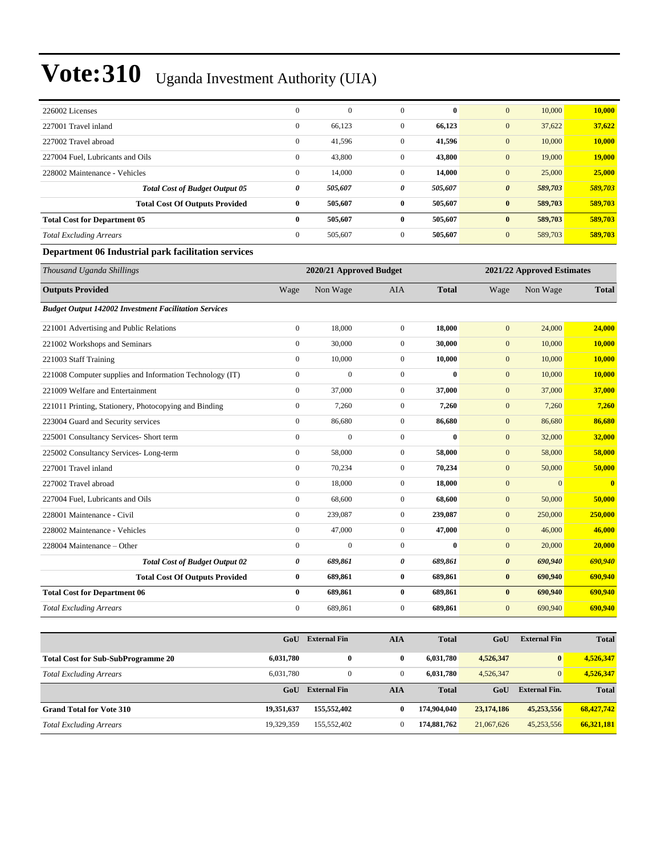| 226002 Licenses                                              | $\mathbf{0}$            | $\mathbf{0}$     | $\mathbf{0}$          | $\bf{0}$                   | $\mathbf{0}$          | 10,000       | 10,000                  |
|--------------------------------------------------------------|-------------------------|------------------|-----------------------|----------------------------|-----------------------|--------------|-------------------------|
| 227001 Travel inland                                         | $\boldsymbol{0}$        | 66,123           | $\mathbf{0}$          | 66,123                     | $\mathbf{0}$          | 37,622       | 37,622                  |
| 227002 Travel abroad                                         | $\overline{0}$          | 41,596           | $\mathbf{0}$          | 41,596                     | $\mathbf{0}$          | 10,000       | 10,000                  |
| 227004 Fuel. Lubricants and Oils                             | $\mathbf{0}$            | 43,800           | $\mathbf{0}$          | 43,800                     | $\mathbf{0}$          | 19,000       | 19,000                  |
| 228002 Maintenance - Vehicles                                | $\mathbf{0}$            | 14,000           | $\mathbf{0}$          | 14,000                     | $\mathbf{0}$          | 25,000       | 25,000                  |
| <b>Total Cost of Budget Output 05</b>                        | $\boldsymbol{\theta}$   | 505,607          | $\boldsymbol{\theta}$ | 505,607                    | $\boldsymbol{\theta}$ | 589,703      | 589,703                 |
| <b>Total Cost Of Outputs Provided</b>                        | $\bf{0}$                | 505,607          | $\bf{0}$              | 505,607                    | $\bf{0}$              | 589,703      | 589,703                 |
| <b>Total Cost for Department 05</b>                          | $\bf{0}$                | 505,607          | $\bf{0}$              | 505,607                    | $\bf{0}$              | 589,703      | 589,703                 |
| <b>Total Excluding Arrears</b>                               | $\overline{0}$          | 505,607          | $\boldsymbol{0}$      | 505,607                    | $\mathbf{0}$          | 589,703      | 589,703                 |
| Department 06 Industrial park facilitation services          |                         |                  |                       |                            |                       |              |                         |
| Thousand Uganda Shillings                                    | 2020/21 Approved Budget |                  |                       | 2021/22 Approved Estimates |                       |              |                         |
| <b>Outputs Provided</b>                                      | Wage                    | Non Wage         | <b>AIA</b>            | <b>Total</b>               | Wage                  | Non Wage     | <b>Total</b>            |
| <b>Budget Output 142002 Investment Facilitation Services</b> |                         |                  |                       |                            |                       |              |                         |
| 221001 Advertising and Public Relations                      | $\boldsymbol{0}$        | 18,000           | $\boldsymbol{0}$      | 18,000                     | $\mathbf{0}$          | 24,000       | 24,000                  |
| 221002 Workshops and Seminars                                | $\mathbf{0}$            | 30,000           | $\mathbf{0}$          | 30,000                     | $\mathbf{0}$          | 10,000       | 10,000                  |
| 221003 Staff Training                                        | $\boldsymbol{0}$        | 10,000           | $\boldsymbol{0}$      | 10,000                     | $\boldsymbol{0}$      | 10,000       | 10,000                  |
| 221008 Computer supplies and Information Technology (IT)     | $\boldsymbol{0}$        | $\boldsymbol{0}$ | $\mathbf{0}$          | $\bf{0}$                   | $\mathbf{0}$          | 10,000       | 10,000                  |
| 221009 Welfare and Entertainment                             | $\boldsymbol{0}$        | 37,000           | $\boldsymbol{0}$      | 37,000                     | $\mathbf{0}$          | 37,000       | 37,000                  |
| 221011 Printing, Stationery, Photocopying and Binding        | $\boldsymbol{0}$        | 7,260            | $\mathbf{0}$          | 7,260                      | $\mathbf{0}$          | 7,260        | 7,260                   |
| 223004 Guard and Security services                           | $\overline{0}$          | 86,680           | $\mathbf{0}$          | 86,680                     | $\mathbf{0}$          | 86,680       | 86,680                  |
| 225001 Consultancy Services- Short term                      | $\boldsymbol{0}$        | $\boldsymbol{0}$ | $\mathbf{0}$          | $\bf{0}$                   | $\boldsymbol{0}$      | 32,000       | 32,000                  |
| 225002 Consultancy Services-Long-term                        | $\mathbf{0}$            | 58,000           | $\mathbf{0}$          | 58,000                     | $\mathbf{0}$          | 58,000       | 58,000                  |
| 227001 Travel inland                                         | $\mathbf{0}$            | 70,234           | $\mathbf{0}$          | 70,234                     | $\mathbf{0}$          | 50,000       | 50,000                  |
| 227002 Travel abroad                                         | $\mathbf{0}$            | 18,000           | $\mathbf{0}$          | 18,000                     | $\mathbf{0}$          | $\mathbf{0}$ | $\overline{\mathbf{0}}$ |
| 227004 Fuel, Lubricants and Oils                             | $\boldsymbol{0}$        | 68,600           | $\mathbf{0}$          | 68,600                     | $\boldsymbol{0}$      | 50,000       | 50,000                  |
| 228001 Maintenance - Civil                                   | $\mathbf{0}$            | 239,087          | $\mathbf{0}$          | 239,087                    | $\mathbf{0}$          | 250,000      | 250,000                 |
| 228002 Maintenance - Vehicles                                | $\boldsymbol{0}$        | 47,000           | $\mathbf{0}$          | 47,000                     | $\mathbf{0}$          | 46,000       | 46,000                  |
| 228004 Maintenance – Other                                   | $\mathbf{0}$            | $\theta$         | $\mathbf{0}$          | $\bf{0}$                   | $\mathbf{0}$          | 20,000       | 20,000                  |
| <b>Total Cost of Budget Output 02</b>                        | 0                       | 689,861          | $\theta$              | 689,861                    | $\boldsymbol{\theta}$ | 690.940      | 690,940                 |

|                                     | <b>Total Cost of Budget Output 02</b> | 689.861 | 689.861 | 690.940<br>0 | 690,940 |
|-------------------------------------|---------------------------------------|---------|---------|--------------|---------|
|                                     | <b>Total Cost Of Outputs Provided</b> | 689.861 | 689.861 | 690,940      | 690,940 |
| <b>Total Cost for Department 06</b> |                                       | 689.861 | 689.861 | 690,940      | 690,940 |
| <b>Total Excluding Arrears</b>      |                                       | 689.861 | 689.861 | 690,940      | 690,940 |
|                                     |                                       |         |         |              |         |

|                                           | GoU        | <b>External Fin</b> | AIA          | <b>Total</b> | GoU        | <b>External Fin</b>  | <b>Total</b> |
|-------------------------------------------|------------|---------------------|--------------|--------------|------------|----------------------|--------------|
| <b>Total Cost for Sub-SubProgramme 20</b> | 6,031,780  | $\bf{0}$            | $\bf{0}$     | 6,031,780    | 4,526,347  | $\bf{0}$             | 4,526,347    |
| <b>Total Excluding Arrears</b>            | 6,031,780  |                     | $\mathbf{0}$ | 6.031.780    | 4.526.347  | $\overline{0}$       | 4,526,347    |
|                                           | GoU        | <b>External Fin</b> | AIA          | <b>Total</b> | GoU        | <b>External Fin.</b> | <b>Total</b> |
| <b>Grand Total for Vote 310</b>           | 19.351.637 | 155,552,402         | $\mathbf{0}$ | 174,904,040  | 23,174,186 | 45,253,556           | 68,427,742   |
| <b>Total Excluding Arrears</b>            |            |                     |              |              | 21,067,626 | 45,253,556           | 66,321,181   |